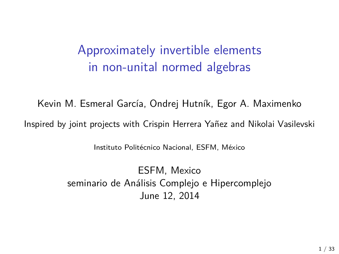# Approximately invertible elements in non-unital normed algebras

Kevin M. Esmeral García, Ondrej Hutník, Egor A. Maximenko Inspired by joint projects with Crispin Herrera Yañez and Nikolai Vasilevski

Instituto Politécnico Nacional, ESFM, México

ESFM, Mexico seminario de Análisis Complejo e Hipercomplejo June 12, 2014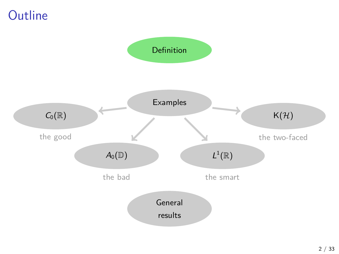### **Outline**

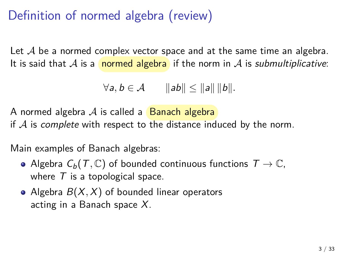# Definition of normed algebra (review)

Let  $\mathcal A$  be a normed complex vector space and at the same time an algebra. It is said that A is a normed algebra if the norm in A is *submultiplicative*:

$$
\forall a, b \in \mathcal{A} \qquad ||ab|| \le ||a|| ||b||.
$$

A normed algebra  $\mathcal A$  is called a **Banach algebra** if  $A$  is complete with respect to the distance induced by the norm.

Main examples of Banach algebras:

- Algebra  $C_b(T, \mathbb{C})$  of bounded continuous functions  $T \to \mathbb{C}$ , where  $T$  is a topological space.
- Algebra  $B(X, X)$  of bounded linear operators acting in a Banach space  $X$ .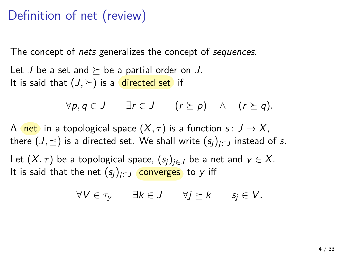### Definition of net (review)

The concept of *nets* generalizes the concept of *sequences*.

Let J be a set and  $\succeq$  be a partial order on J. It is said that  $(J, \succeq)$  is a directed set if

$$
\forall p,q \in J \qquad \exists r \in J \qquad (r \succeq p) \quad \wedge \quad (r \succeq q).
$$

A net in a topological space  $(X, \tau)$  is a function  $s: J \to X$ , there  $(J, \preceq)$  is a directed set. We shall write  $(s_i)_{i \in J}$  instead of s.

Let  $(X, \tau)$  be a topological space,  $(s_i)_{i \in J}$  be a net and  $y \in X$ . It is said that the net  $(s_i)_{i\in J}$  converges to y iff

$$
\forall V \in \tau_{y} \qquad \exists k \in J \qquad \forall j \succeq k \qquad s_{j} \in V.
$$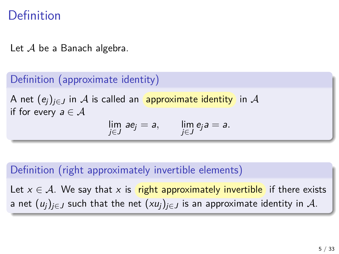### Definition

Let  $A$  be a Banach algebra.

### Definition (approximate identity)

A net  $(e_i)_{i\in J}$  in A is called an approximate identity in A if for every  $a \in A$ 

$$
\lim_{j\in J} ae_j=a, \qquad \lim_{j\in J} e_j a=a.
$$

#### Definition (right approximately invertible elements)

Let  $x \in A$ . We say that x is right approximately invertible if there exists a net  $(u_i)_{i\in J}$  such that the net  $(xu_i)_{i\in J}$  is an approximate identity in A.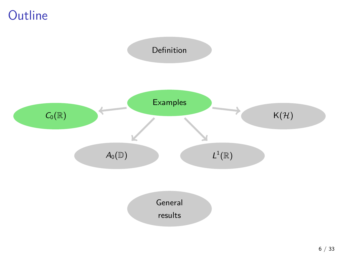## **Outline**

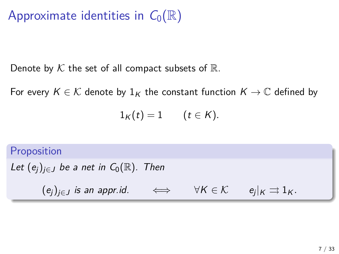# Approximate identities in  $C_0(\mathbb{R})$

Denote by  $K$  the set of all compact subsets of  $\mathbb{R}$ .

For every  $K \in \mathcal{K}$  denote by  $1_K$  the constant function  $K \to \mathbb{C}$  defined by

$$
1_K(t)=1\qquad (t\in K).
$$

Proposition Let  $(e_i)_{i\in J}$  be a net in  $C_0(\mathbb{R})$ . Then  $(e_j)_{j\in J}$  is an appr.id.  $\iff$   $\forall K \in \mathcal{K}$   $e_j|_K \rightrightarrows 1_K$ .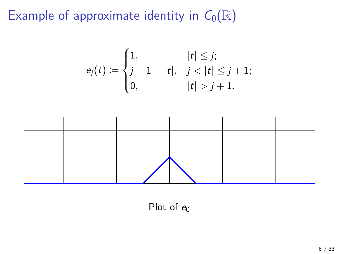$$
e_j(t) := \begin{cases} 1, & |t| \leq j; \\ j+1-|t|, & j < |t| \leq j+1; \\ 0, & |t| > j+1. \end{cases}
$$



Plot of  $e_0$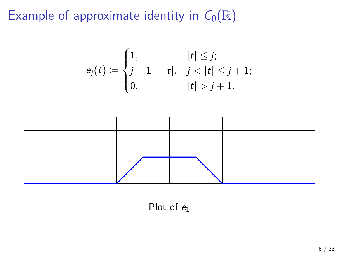$$
e_j(t) := \begin{cases} 1, & |t| \leq j; \\ j+1-|t|, & j < |t| \leq j+1; \\ 0, & |t| > j+1. \end{cases}
$$



Plot of  $e_1$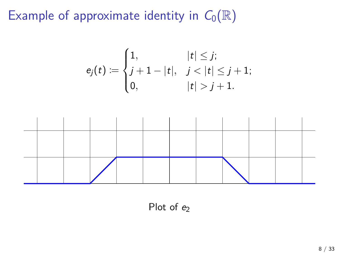$$
e_j(t) := \begin{cases} 1, & |t| \leq j; \\ j+1-|t|, & j < |t| \leq j+1; \\ 0, & |t| > j+1. \end{cases}
$$



Plot of  $e_2$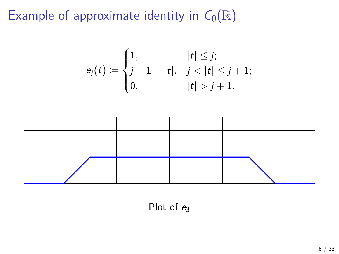$$
e_j(t) := \begin{cases} 1, & |t| \leq j; \\ j+1-|t|, & j < |t| \leq j+1; \\ 0, & |t| > j+1. \end{cases}
$$



Plot of  $e_3$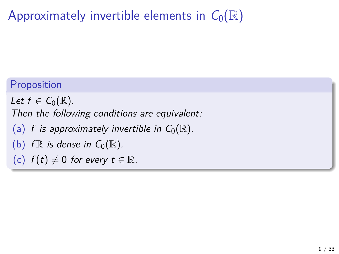# Approximately invertible elements in  $C_0(\mathbb{R})$

#### Proposition

Let  $f \in C_0(\mathbb{R})$ . Then the following conditions are equivalent:

- (a) f is approximately invertible in  $C_0(\mathbb{R})$ .
- (b)  $f \mathbb{R}$  is dense in  $C_0(\mathbb{R})$ .
- (c)  $f(t) \neq 0$  for every  $t \in \mathbb{R}$ .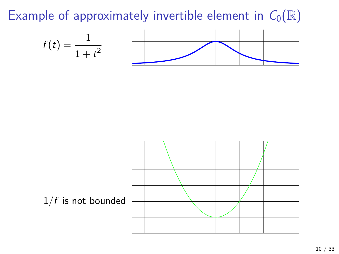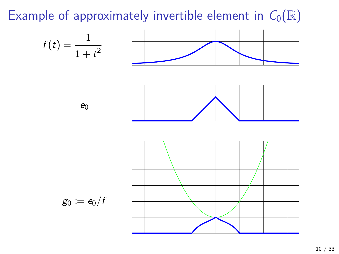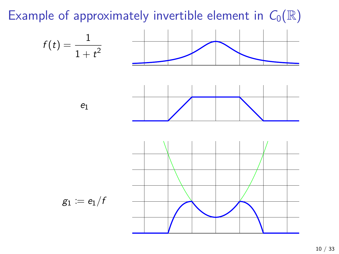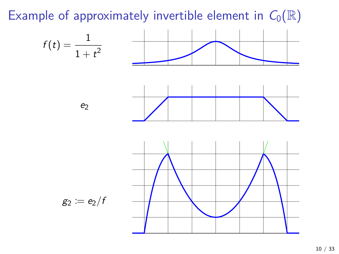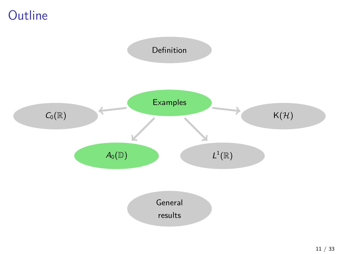## **Outline**

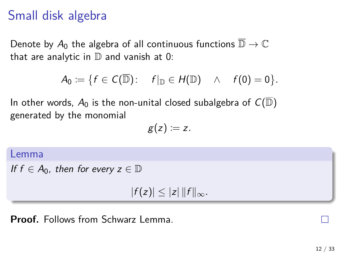### Small disk algebra

Denote by  $A_0$  the algebra of all continuous functions  $\overline{\mathbb{D}} \to \mathbb{C}$ that are analytic in  $\mathbb D$  and vanish at 0:

$$
A_0 := \{ f \in C(\overline{\mathbb{D}}): \quad f|_{\mathbb{D}} \in H(\mathbb{D}) \quad \wedge \quad f(0) = 0 \}.
$$

In other words,  $A_0$  is the non-unital closed subalgebra of  $C(\mathbb{D})$ generated by the monomial

$$
g(z):=z.
$$

Lemma

If  $f \in A_0$ , then for every  $z \in \mathbb{D}$ 

 $|f(z)| \leq |z| ||f||_{\infty}$ .

**Proof.** Follows from Schwarz Lemma.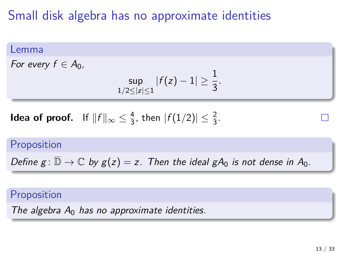## Small disk algebra has no approximate identities

#### Lemma

For every  $f \in A_0$ ,

$$
\sup_{1/2 \le |z| \le 1} |f(z) - 1| \ge \frac{1}{3}.
$$

**Idea of proof.** If  $||f||_{\infty} \leq \frac{4}{3}$  $\frac{4}{3}$ , then  $|f(1/2)| \leq \frac{2}{3}$ .

#### Proposition

Define  $g: \overline{\mathbb{D}} \to \mathbb{C}$  by  $g(z) = z$ . Then the ideal  $gA_0$  is not dense in  $A_0$ .

#### Proposition

The algebra  $A_0$  has no approximate identities.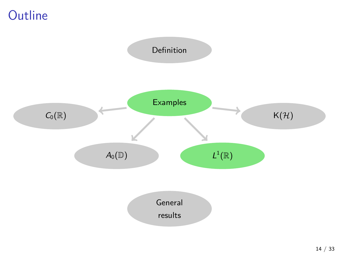## **Outline**

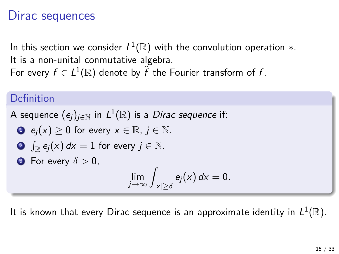### Dirac sequences

In this section we consider  $L^1(\mathbb{R})$  with the convolution operation  $\ast.$ It is a non-unital conmutative algebra. For every  $f \in L^1(\mathbb{R})$  denote by  $\widehat{f}$  the Fourier transform of  $f$ .

#### Definition

A sequence  $(e_j)_{j\in\mathbb{N}}$  in  $L^1(\mathbb{R})$  is a *Dirac sequence* if:

• 
$$
e_j(x) \ge 0
$$
 for every  $x \in \mathbb{R}$ ,  $j \in \mathbb{N}$ .

• 
$$
\int_{\mathbb{R}} e_j(x) \, dx = 1
$$
 for every  $j \in \mathbb{N}$ .

• For every 
$$
\delta > 0
$$
,

$$
\lim_{j\to\infty}\int_{|x|\geq \delta}e_j(x)\,dx=0.
$$

It is known that every Dirac sequence is an approximate identity in  $L^1(\mathbb{R}).$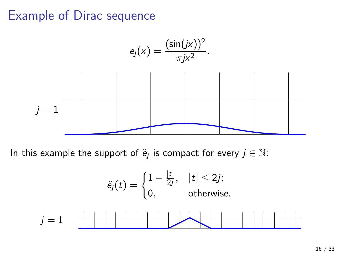

$$
\widehat{e_j}(t) = \begin{cases} 1 - \frac{|t|}{2j}, & |t| \le 2j; \\ 0, & \text{otherwise.} \end{cases}
$$
  
 $j = 1$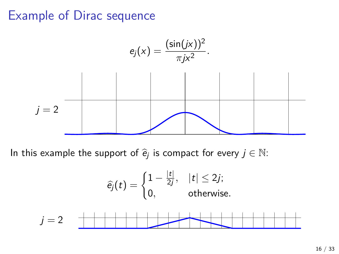

$$
\widehat{e}_j(t) = \begin{cases} 1 - \frac{|t|}{2j}, & |t| \le 2j; \\ 0, & \text{otherwise.} \end{cases}
$$
  
 $j = 2$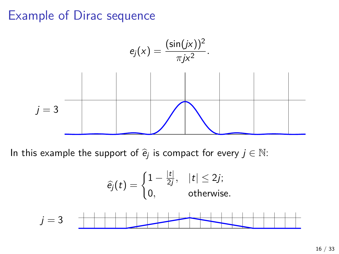

$$
\widehat{e}_j(t) = \begin{cases} 1 - \frac{|t|}{2j}, & |t| \le 2j; \\ 0, & \text{otherwise.} \end{cases}
$$
  
 $j = 3$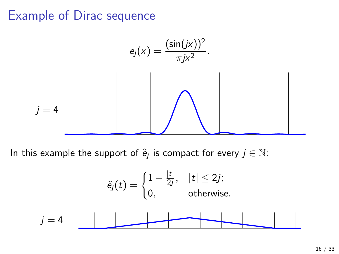

$$
\widehat{e}_j(t) = \begin{cases} 1 - \frac{|t|}{2j}, & |t| \le 2j; \\ 0, & \text{otherwise.} \end{cases}
$$
  
 $j = 4$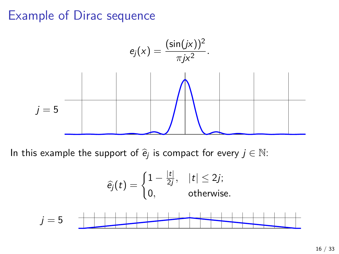

$$
\widehat{e}_j(t) = \begin{cases} 1 - \frac{|t|}{2j}, & |t| \le 2j; \\ 0, & \text{otherwise.} \end{cases}
$$
  
 $j = 5$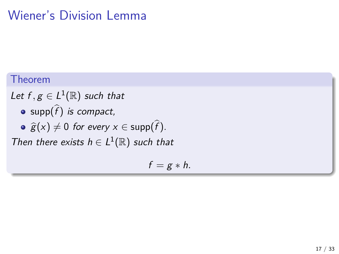# Wiener's Division Lemma

#### Theorem

- Let  $f,g \in L^1(\mathbb{R})$  such that
	- $\mathsf{supp}(f)$  is compact,
	- $\widehat{g}(x) \neq 0$  for every  $x \in \text{supp}(f)$ .

Then there exists  $h \in L^1(\mathbb{R})$  such that

$$
f=g*h.
$$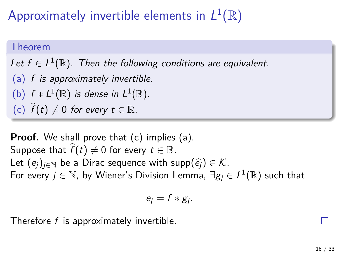Approximately invertible elements in  $L^1(\mathbb{R})$ 

#### Theorem

Let  $f \in L^1(\mathbb{R})$ . Then the following conditions are equivalent.

- (a) f is approximately invertible.
- (b)  $f * L^1(\mathbb{R})$  is dense in  $L^1(\mathbb{R})$ .
- (c)  $\widehat{f}(t) \neq 0$  for every  $t \in \mathbb{R}$ .

**Proof.** We shall prove that (c) implies (a). Suppose that  $\widehat{f}(t) \neq 0$  for every  $t \in \mathbb{R}$ . Let  $(e_i)_{i\in\mathbb{N}}$  be a Dirac sequence with supp $(\hat{e}_i) \in \mathcal{K}$ . For every  $j\in\mathbb{N}$ , by Wiener's Division Lemma,  $\exists g_j\in L^1(\mathbb{R})$  such that

$$
e_j=f*g_j.
$$

Therefore f is approximately invertible.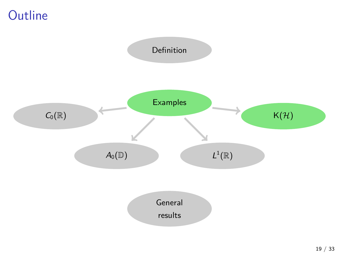## **Outline**

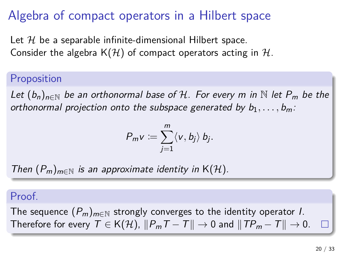## Algebra of compact operators in a Hilbert space

Let  $H$  be a separable infinite-dimensional Hilbert space. Consider the algebra  $K(H)$  of compact operators acting in H.

#### Proposition

Let  $(b_n)_{n\in\mathbb{N}}$  be an orthonormal base of H. For every m in  $\mathbb{N}$  let  $P_m$  be the orthonormal projection onto the subspace generated by  $b_1, \ldots, b_m$ .

$$
P_m v := \sum_{j=1}^m \langle v, b_j \rangle b_j.
$$

Then  $(P_m)_{m\in\mathbb{N}}$  is an approximate identity in K(H).

#### Proof.

The sequence  $(P_m)_{m\in\mathbb{N}}$  strongly converges to the identity operator *I*. Therefore for every  $T \in K(H)$ ,  $||P_mT - T|| \rightarrow 0$  and  $||TP_m - T|| \rightarrow 0$ .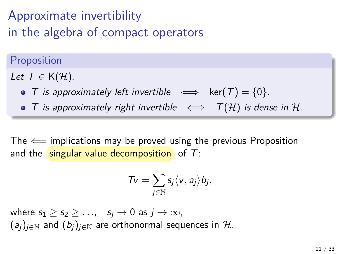# Approximate invertibility in the algebra of compact operators

Proposition

Let  $T \in K(\mathcal{H})$ .

- T is approximately left invertible  $\iff$  ker $(T) = \{0\}$ .
- T is approximately right invertible  $\iff$   $T(\mathcal{H})$  is dense in H.

The  $\Leftarrow$  implications may be proved using the previous Proposition and the singular value decomposition of  $T$ :

$$
\mathcal{T}v=\sum_{j\in\mathbb{N}}s_j\langle v,a_j\rangle b_j,
$$

where  $s_1 \geq s_2 \geq \ldots$ ,  $s_j \to 0$  as  $j \to \infty$ ,  $(a_i)_{i\in\mathbb{N}}$  and  $(b_i)_{i\in\mathbb{N}}$  are orthonormal sequences in H.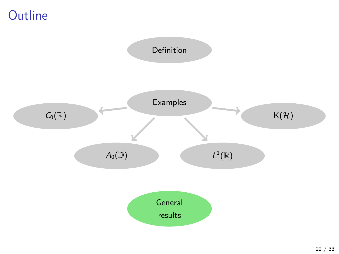## **Outline**

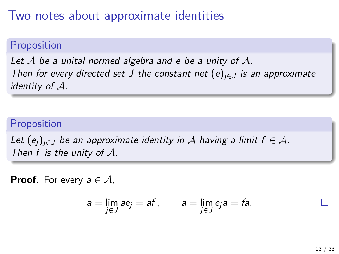### Two notes about approximate identities

#### Proposition

Let  $A$  be a unital normed algebra and e be a unity of  $A$ . Then for every directed set J the constant net  $(e)_{i \in I}$  is an approximate identity of A.

#### Proposition

Let  $(e_i)_{i\in J}$  be an approximate identity in A having a limit  $f \in A$ . Then  $f$  is the unity of  $A$ .

**Proof.** For every  $a \in \mathcal{A}$ ,

$$
a = \lim_{j \in J} a e_j = af, \qquad a = \lim_{j \in J} e_j a = fa.
$$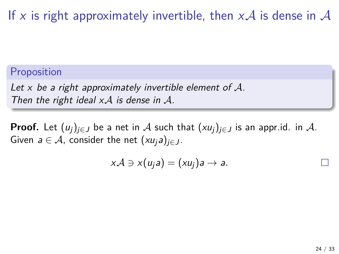If x is right approximately invertible, then  $xA$  is dense in A

#### Proposition

Let x be a right approximately invertible element of  $\mathcal{A}$ . Then the right ideal  $xA$  is dense in  $A$ .

**Proof.** Let  $(u_i)_{i\in J}$  be a net in A such that  $(xu_i)_{i\in J}$  is an appr.id. in A. Given  $a \in \mathcal{A}$ , consider the net  $(xu_j a)_{j \in J}$ .

$$
x\mathcal{A}\ni x(u_ja)=(xu_j)a\to a.
$$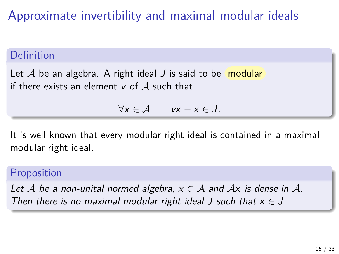Approximate invertibility and maximal modular ideals

#### Definition

Let  $A$  be an algebra. A right ideal  $J$  is said to be modular if there exists an element  $v$  of  $A$  such that

∀x ∈ A vx − x ∈ J*.*

It is well known that every modular right ideal is contained in a maximal modular right ideal.

#### Proposition

Let A be a non-unital normed algebra,  $x \in A$  and  $Ax$  is dense in A. Then there is no maximal modular right ideal J such that  $x \in J$ .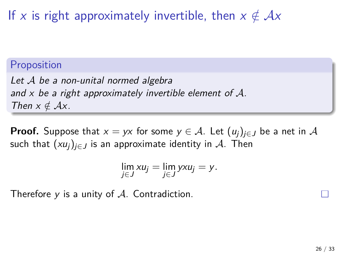If x is right approximately invertible, then  $x \notin Ax$ 

#### Proposition

Let A be a non-unital normed algebra and x be a right approximately invertible element of  $\mathcal{A}$ . Then  $x \notin Ax$ .

**Proof.** Suppose that  $x = yx$  for some  $y \in A$ . Let  $(u_i)_{i \in J}$  be a net in A such that  $(xu_i)_{i\in J}$  is an approximate identity in A. Then

$$
\lim_{j\in J}x u_j=\lim_{j\in J} yx u_j=y.
$$

Therefore  $y$  is a unity of  $A$ . Contradiction.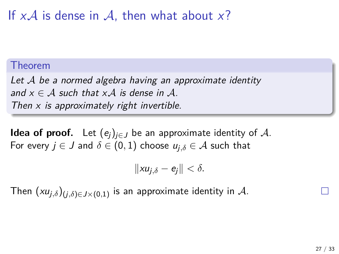If  $xA$  is dense in A, then what about x?

#### Theorem

Let A be a normed algebra having an approximate identity and  $x \in A$  such that  $xA$  is dense in A. Then  $x$  is approximately right invertible.

**Idea of proof.** Let  $(e_i)_{i \in J}$  be an approximate identity of A. For every  $j \in J$  and  $\delta \in (0,1)$  choose  $u_{i,\delta} \in A$  such that

$$
||xu_{j,\delta}-e_j||<\delta.
$$

Then  $(xu_{j,\delta})_{(j,\delta)\in J\times(0,1)}$  is an approximate identity in  $\mathcal{A}.$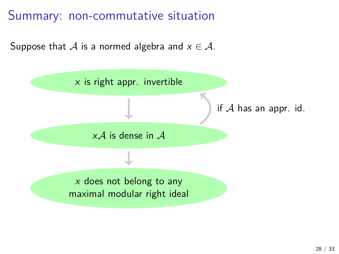Summary: non-commutative situation

Suppose that A is a normed algebra and  $x \in \mathcal{A}$ .

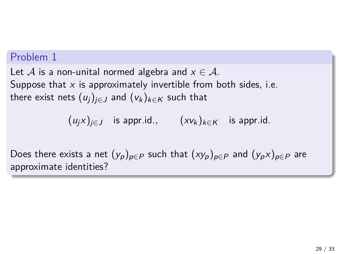#### Problem 1

Let  $A$  is a non-unital normed algebra and  $x \in A$ . Suppose that  $x$  is approximately invertible from both sides, i.e. there exist nets  $(u_j)_{i\in J}$  and  $(v_k)_{k\in K}$  such that

$$
(u_jx)_{j\in J}
$$
 is appr.id.,  $(xv_k)_{k\in K}$  is appr.id.

Does there exists a net  $(y_p)_{p \in P}$  such that  $(xy_p)_{p \in P}$  and  $(y_p x)_{p \in P}$  are approximate identities?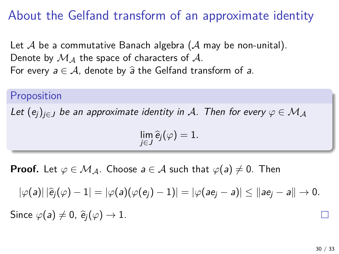## About the Gelfand transform of an approximate identity

Let  $A$  be a commutative Banach algebra ( $A$  may be non-unital). Denote by  $M_A$  the space of characters of A. For every  $a \in A$ , denote by  $\hat{a}$  the Gelfand transform of a.

#### Proposition

Let  $(e_i)_{i\in J}$  be an approximate identity in A. Then for every  $\varphi \in \mathcal{M}_A$ 

$$
\lim_{j\in J}\widehat{e}_j(\varphi)=1.
$$

**Proof.** Let  $\varphi \in \mathcal{M}_A$ . Choose  $a \in \mathcal{A}$  such that  $\varphi(a) \neq 0$ . Then

 $|\varphi(a)| |\hat{e}_i(\varphi) - 1| = |\varphi(a)(\varphi(e_i) - 1)| = |\varphi(ae_i - a)| \le ||ae_i - a|| \to 0.$ 

Since  $\varphi(a) \neq 0$ ,  $\hat{e}_i(\varphi) \rightarrow 1$ .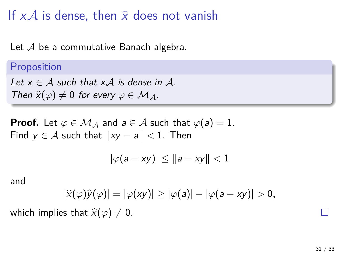If  $xA$  is dense, then  $\hat{x}$  does not vanish

Let  $A$  be a commutative Banach algebra.

#### Proposition

Let  $x \in A$  such that x A is dense in A. Then  $\hat{\chi}(\varphi) \neq 0$  for every  $\varphi \in \mathcal{M}_A$ .

**Proof.** Let  $\varphi \in \mathcal{M}_\mathcal{A}$  and  $a \in \mathcal{A}$  such that  $\varphi(a) = 1$ . Find  $y \in A$  such that  $||xy - a|| < 1$ . Then

$$
|\varphi(a-xy)|\leq ||a-xy||<1
$$

and

$$
|\widehat{x}(\varphi)\widehat{y}(\varphi)|=|\varphi(xy)|\geq |\varphi(a)|-|\varphi(a-xy)|>0,
$$

which implies that  $\hat{x}(\varphi) \neq 0$ .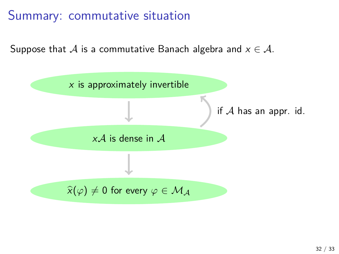### Summary: commutative situation

Suppose that A is a commutative Banach algebra and  $x \in A$ .